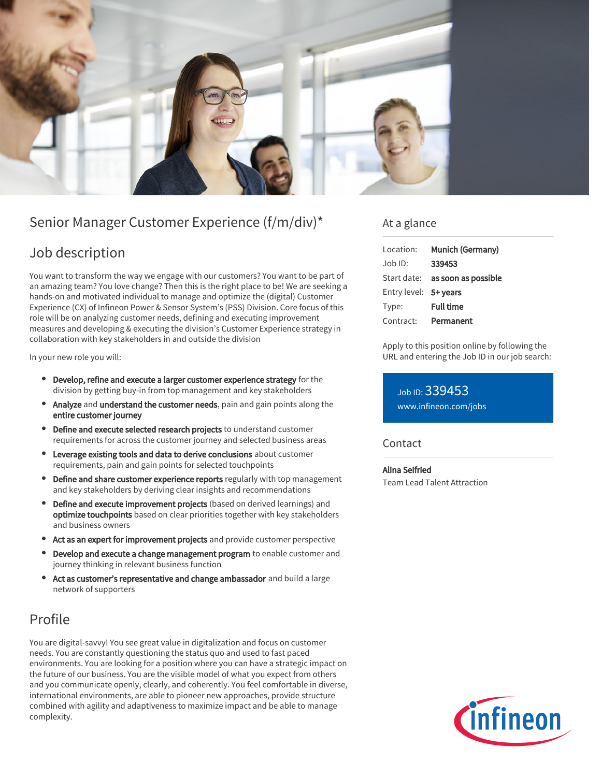

# Senior Manager Customer Experience (f/m/div)\*

### Job description

You want to transform the way we engage with our customers? You want to be part of an amazing team? You love change? Then this is the right place to be! We are seeking a hands-on and motivated individual to manage and optimize the (digital) Customer Experience (CX) of Infineon Power & Sensor System's (PSS) Division. Core focus of this role will be on analyzing customer needs, defining and executing improvement measures and developing & executing the division's Customer Experience strategy in collaboration with key stakeholders in and outside the division

In your new role you will:

- Develop, refine and execute a larger customer experience strategy for the division by getting buy-in from top management and key stakeholders
- Analyze and understand the customer needs, pain and gain points along the entire customer journey
- Define and execute selected research projects to understand customer requirements for across the customer journey and selected business areas
- Leverage existing tools and data to derive conclusions about customer requirements, pain and gain points for selected touchpoints
- Define and share customer experience reports regularly with top management and key stakeholders by deriving clear insights and recommendations
- Define and execute improvement projects (based on derived learnings) and optimize touchpoints based on clear priorities together with key stakeholders and business owners
- Act as an expert for improvement projects and provide customer perspective
- $\bullet$ Develop and execute a change management program to enable customer and journey thinking in relevant business function
- Act as customer's representative and change ambassador and build a large network of supporters

## Profile

You are digital-savvy! You see great value in digitalization and focus on customer needs. You are constantly questioning the status quo and used to fast paced environments. You are looking for a position where you can have a strategic impact on the future of our business. You are the visible model of what you expect from others and you communicate openly, clearly, and coherently. You feel comfortable in diverse, international environments, are able to pioneer new approaches, provide structure combined with agility and adaptiveness to maximize impact and be able to manage complexity.

### At a glance

| Location:             | Munich (Germany)                       |
|-----------------------|----------------------------------------|
| Job ID:               | 339453                                 |
|                       | Start date: <b>as soon as possible</b> |
| Entry level: 5+ years |                                        |
| Type:                 | <b>Full time</b>                       |
| Contract:             | Permanent                              |

Apply to this position online by following the URL and entering the Job ID in our job search:

Job ID: 339453 [www.infineon.com/jobs](https://www.infineon.com/jobs)

### **Contact**

Alina Seifried Team Lead Talent Attraction